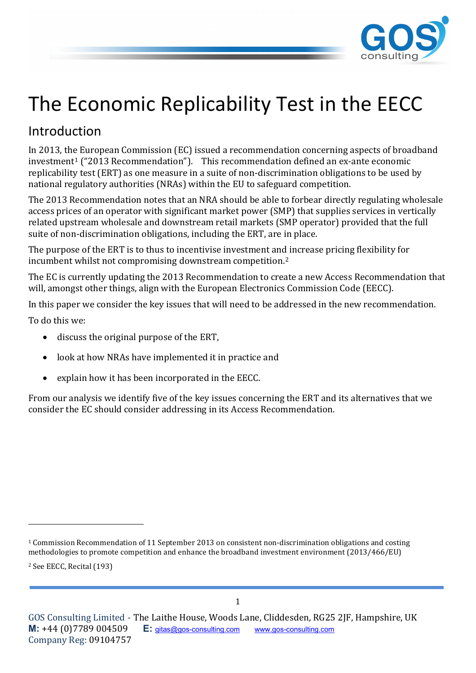

# The Economic Replicability Test in the EECC

# Introduction

In 2013, the European Commission (EC) issued a recommendation concerning aspects of broadband investment[1](#page-0-0) ("2013 Recommendation"). This recommendation defined an ex-ante economic replicability test (ERT) as one measure in a suite of non-discrimination obligations to be used by national regulatory authorities (NRAs) within the EU to safeguard competition.

The 2013 Recommendation notes that an NRA should be able to forbear directly regulating wholesale access prices of an operator with significant market power (SMP) that supplies services in vertically related upstream wholesale and downstream retail markets (SMP operator) provided that the full suite of non-discrimination obligations, including the ERT, are in place.

The purpose of the ERT is to thus to incentivise investment and increase pricing flexibility for incumbent whilst not compromising downstream competition. [2](#page-0-1)

The EC is currently updating the 2013 Recommendation to create a new Access Recommendation that will, amongst other things, align with the European Electronics Commission Code (EECC).

In this paper we consider the key issues that will need to be addressed in the new recommendation.

To do this we:

- discuss the original purpose of the ERT,
- look at how NRAs have implemented it in practice and
- explain how it has been incorporated in the EECC.

From our analysis we identify five of the key issues concerning the ERT and its alternatives that we consider the EC should consider addressing in its Access Recommendation.

<span id="page-0-0"></span><sup>1</sup> Commission Recommendation of 11 September 2013 on consistent non-discrimination obligations and costing methodologies to promote competition and enhance the broadband investment environment (2013/466/EU)

<span id="page-0-1"></span><sup>2</sup> See EECC, Recital (193)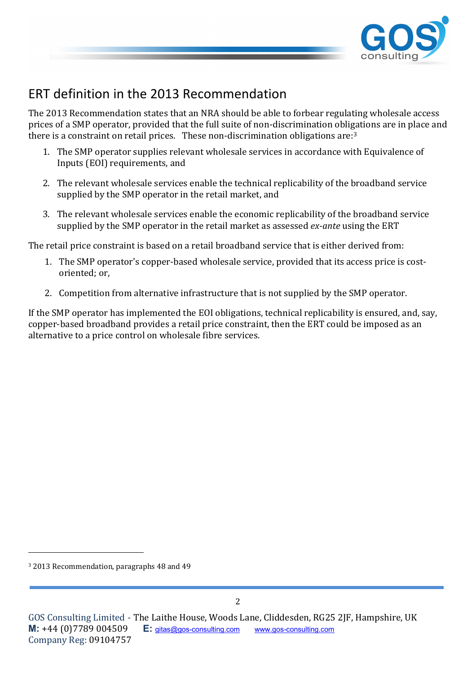

# ERT definition in the 2013 Recommendation

The 2013 Recommendation states that an NRA should be able to forbear regulating wholesale access prices of a SMP operator, provided that the full suite of non-discrimination obligations are in place and there is a constraint on retail prices. These non-discrimination obligations are:[3](#page-1-0)

- 1. The SMP operator supplies relevant wholesale services in accordance with Equivalence of Inputs (EOI) requirements, and
- 2. The relevant wholesale services enable the technical replicability of the broadband service supplied by the SMP operator in the retail market, and
- 3. The relevant wholesale services enable the economic replicability of the broadband service supplied by the SMP operator in the retail market as assessed *ex-ante* using the ERT

The retail price constraint is based on a retail broadband service that is either derived from:

- 1. The SMP operator's copper-based wholesale service, provided that its access price is costoriented; or,
- 2. Competition from alternative infrastructure that is not supplied by the SMP operator.

If the SMP operator has implemented the EOI obligations, technical replicability is ensured, and, say, copper-based broadband provides a retail price constraint, then the ERT could be imposed as an alternative to a price control on wholesale fibre services.

<span id="page-1-0"></span><sup>3</sup> 2013 Recommendation, paragraphs 48 and 49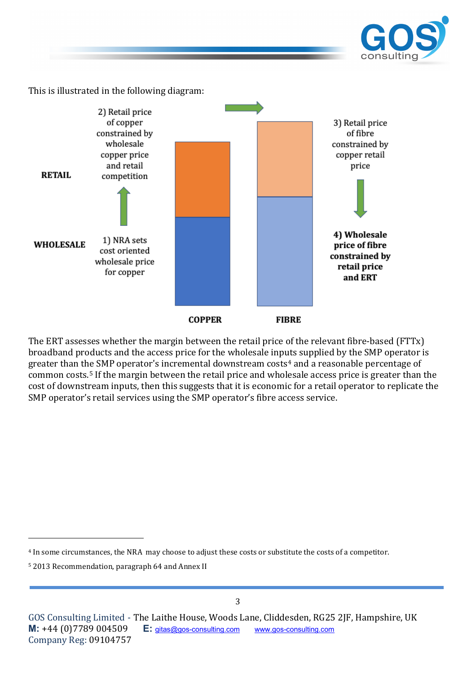

This is illustrated in the following diagram:



The ERT assesses whether the margin between the retail price of the relevant fibre-based (FTTx) broadband products and the access price for the wholesale inputs supplied by the SMP operator is greater than the SMP operator's incremental downstream costs<sup>[4](#page-2-0)</sup> and a reasonable percentage of common costs.[5](#page-2-1) If the margin between the retail price and wholesale access price is greater than the cost of downstream inputs, then this suggests that it is economic for a retail operator to replicate the SMP operator's retail services using the SMP operator's fibre access service.

<span id="page-2-1"></span><sup>5</sup> 2013 Recommendation, paragraph 64 and Annex II

<span id="page-2-0"></span><sup>4</sup> In some circumstances, the NRA may choose to adjust these costs or substitute the costs of a competitor.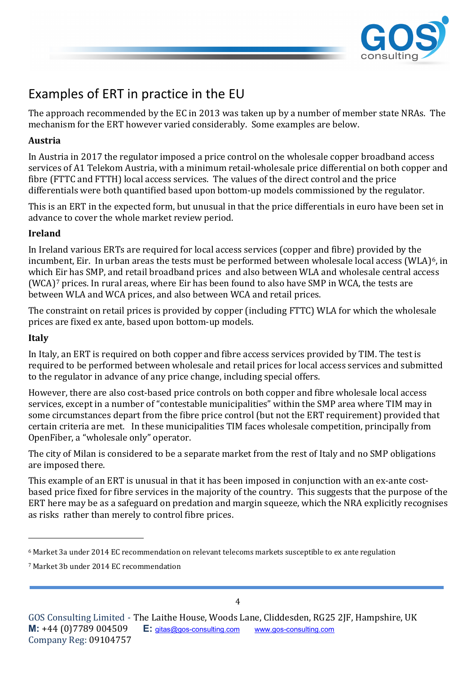

# Examples of ERT in practice in the EU

The approach recommended by the EC in 2013 was taken up by a number of member state NRAs. The mechanism for the ERT however varied considerably. Some examples are below.

# **Austria**

In Austria in 2017 the regulator imposed a price control on the wholesale copper broadband access services of A1 Telekom Austria, with a minimum retail-wholesale price differential on both copper and fibre (FTTC and FTTH) local access services. The values of the direct control and the price differentials were both quantified based upon bottom-up models commissioned by the regulator.

This is an ERT in the expected form, but unusual in that the price differentials in euro have been set in advance to cover the whole market review period.

### **Ireland**

In Ireland various ERTs are required for local access services (copper and fibre) provided by the incumbent, Eir. In urban areas the tests must be performed between wholesale local access (WLA)<sup>6</sup>, in which Eir has SMP, and retail broadband prices and also between WLA and wholesale central access (WCA)[7](#page-3-1) prices. In rural areas, where Eir has been found to also have SMP in WCA, the tests are between WLA and WCA prices, and also between WCA and retail prices.

The constraint on retail prices is provided by copper (including FTTC) WLA for which the wholesale prices are fixed ex ante, based upon bottom-up models.

## **Italy**

In Italy, an ERT is required on both copper and fibre access services provided by TIM. The test is required to be performed between wholesale and retail prices for local access services and submitted to the regulator in advance of any price change, including special offers.

However, there are also cost-based price controls on both copper and fibre wholesale local access services, except in a number of "contestable municipalities" within the SMP area where TIM may in some circumstances depart from the fibre price control (but not the ERT requirement) provided that certain criteria are met. In these municipalities TIM faces wholesale competition, principally from OpenFiber, a "wholesale only" operator.

The city of Milan is considered to be a separate market from the rest of Italy and no SMP obligations are imposed there.

This example of an ERT is unusual in that it has been imposed in conjunction with an ex-ante costbased price fixed for fibre services in the majority of the country. This suggests that the purpose of the ERT here may be as a safeguard on predation and margin squeeze, which the NRA explicitly recognises as risks rather than merely to control fibre prices.

<span id="page-3-0"></span><sup>6</sup> Market 3a under 2014 EC recommendation on relevant telecoms markets susceptible to ex ante regulation

<span id="page-3-1"></span><sup>7</sup> Market 3b under 2014 EC recommendation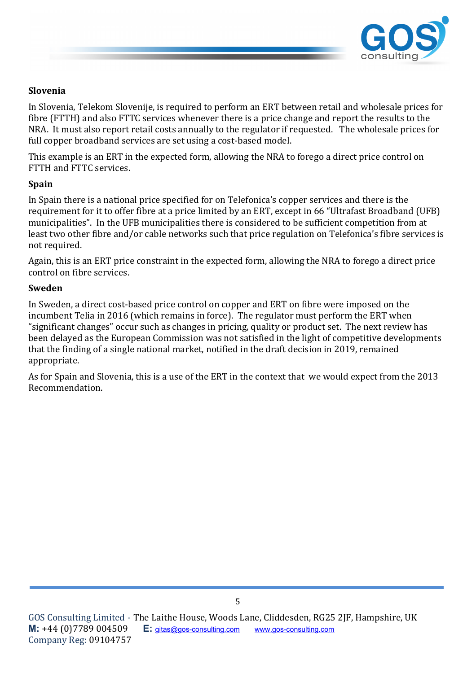

### **Slovenia**

In Slovenia, Telekom Slovenije, is required to perform an ERT between retail and wholesale prices for fibre (FTTH) and also FTTC services whenever there is a price change and report the results to the NRA. It must also report retail costs annually to the regulator if requested. The wholesale prices for full copper broadband services are set using a cost-based model.

This example is an ERT in the expected form, allowing the NRA to forego a direct price control on FTTH and FTTC services.

### **Spain**

In Spain there is a national price specified for on Telefonica's copper services and there is the requirement for it to offer fibre at a price limited by an ERT, except in 66 "Ultrafast Broadband (UFB) municipalities". In the UFB municipalities there is considered to be sufficient competition from at least two other fibre and/or cable networks such that price regulation on Telefonica's fibre services is not required.

Again, this is an ERT price constraint in the expected form, allowing the NRA to forego a direct price control on fibre services.

### **Sweden**

In Sweden, a direct cost-based price control on copper and ERT on fibre were imposed on the incumbent Telia in 2016 (which remains in force). The regulator must perform the ERT when "significant changes" occur such as changes in pricing, quality or product set. The next review has been delayed as the European Commission was not satisfied in the light of competitive developments that the finding of a single national market, notified in the draft decision in 2019, remained appropriate.

As for Spain and Slovenia, this is a use of the ERT in the context that we would expect from the 2013 Recommendation.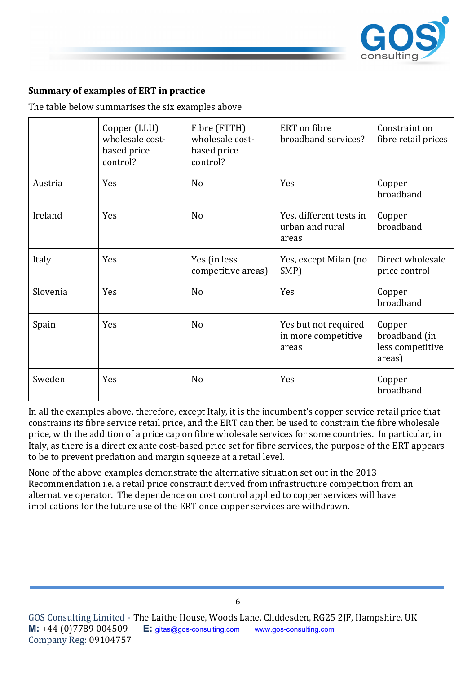

### **Summary of examples of ERT in practice**

The table below summarises the six examples above

|          | Copper (LLU)<br>wholesale cost-<br>based price<br>control? | Fibre (FTTH)<br>wholesale cost-<br>based price<br>control? | ERT on fibre<br>broadband services?                  | Constraint on<br>fibre retail prices                  |
|----------|------------------------------------------------------------|------------------------------------------------------------|------------------------------------------------------|-------------------------------------------------------|
| Austria  | Yes                                                        | N <sub>o</sub>                                             | Yes                                                  | Copper<br>broadband                                   |
| Ireland  | Yes                                                        | N <sub>o</sub>                                             | Yes, different tests in<br>urban and rural<br>areas  | Copper<br>broadband                                   |
| Italy    | Yes                                                        | Yes (in less<br>competitive areas)                         | Yes, except Milan (no<br>SMP)                        | Direct wholesale<br>price control                     |
| Slovenia | Yes                                                        | N <sub>o</sub>                                             | Yes                                                  | Copper<br>broadband                                   |
| Spain    | Yes                                                        | N <sub>o</sub>                                             | Yes but not required<br>in more competitive<br>areas | Copper<br>broadband (in<br>less competitive<br>areas) |
| Sweden   | Yes                                                        | N <sub>o</sub>                                             | Yes                                                  | Copper<br>broadband                                   |

In all the examples above, therefore, except Italy, it is the incumbent's copper service retail price that constrains its fibre service retail price, and the ERT can then be used to constrain the fibre wholesale price, with the addition of a price cap on fibre wholesale services for some countries. In particular, in Italy, as there is a direct ex ante cost-based price set for fibre services, the purpose of the ERT appears to be to prevent predation and margin squeeze at a retail level.

None of the above examples demonstrate the alternative situation set out in the 2013 Recommendation i.e. a retail price constraint derived from infrastructure competition from an alternative operator. The dependence on cost control applied to copper services will have implications for the future use of the ERT once copper services are withdrawn.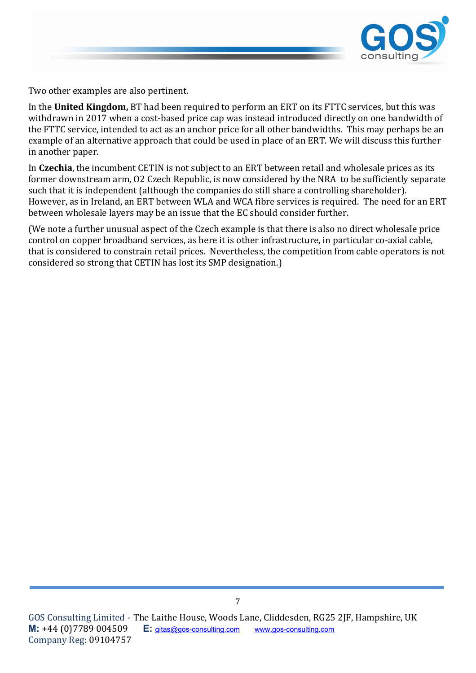

Two other examples are also pertinent.

In the **United Kingdom,** BT had been required to perform an ERT on its FTTC services, but this was withdrawn in 2017 when a cost-based price cap was instead introduced directly on one bandwidth of the FTTC service, intended to act as an anchor price for all other bandwidths. This may perhaps be an example of an alternative approach that could be used in place of an ERT. We will discuss this further in another paper.

In **Czechia**, the incumbent CETIN is not subject to an ERT between retail and wholesale prices as its former downstream arm, O2 Czech Republic, is now considered by the NRA to be sufficiently separate such that it is independent (although the companies do still share a controlling shareholder). However, as in Ireland, an ERT between WLA and WCA fibre services is required. The need for an ERT between wholesale layers may be an issue that the EC should consider further.

(We note a further unusual aspect of the Czech example is that there is also no direct wholesale price control on copper broadband services, as here it is other infrastructure, in particular co-axial cable, that is considered to constrain retail prices. Nevertheless, the competition from cable operators is not considered so strong that CETIN has lost its SMP designation.)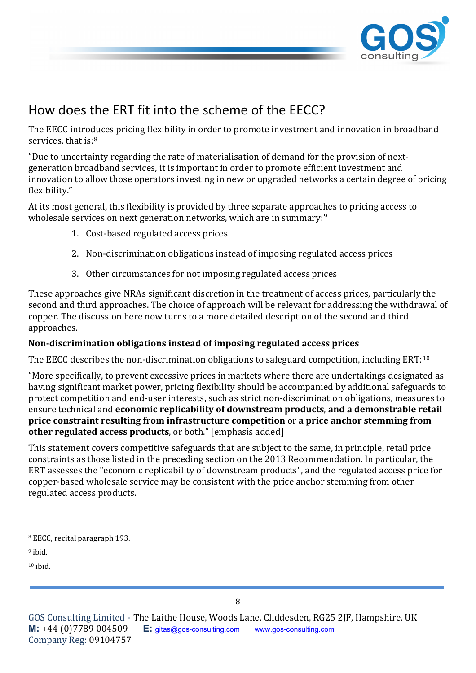

# How does the ERT fit into the scheme of the EECC?

The EECC introduces pricing flexibility in order to promote investment and innovation in broadband services, that is:<sup>[8](#page-7-0)</sup>

"Due to uncertainty regarding the rate of materialisation of demand for the provision of nextgeneration broadband services, it is important in order to promote efficient investment and innovation to allow those operators investing in new or upgraded networks a certain degree of pricing flexibility."

At its most general, this flexibility is provided by three separate approaches to pricing access to wholesale services on next generation networks, which are in summary:<sup>[9](#page-7-1)</sup>

- 1. Cost-based regulated access prices
- 2. Non-discrimination obligations instead of imposing regulated access prices
- 3. Other circumstances for not imposing regulated access prices

These approaches give NRAs significant discretion in the treatment of access prices, particularly the second and third approaches. The choice of approach will be relevant for addressing the withdrawal of copper. The discussion here now turns to a more detailed description of the second and third approaches.

### **Non-discrimination obligations instead of imposing regulated access prices**

The EECC describes the non-discrimination obligations to safeguard competition, including ERT:[10](#page-7-2)

"More specifically, to prevent excessive prices in markets where there are undertakings designated as having significant market power, pricing flexibility should be accompanied by additional safeguards to protect competition and end-user interests, such as strict non-discrimination obligations, measures to ensure technical and **economic replicability of downstream products**, **and a demonstrable retail price constraint resulting from infrastructure competition** or **a price anchor stemming from other regulated access products**, or both." [emphasis added]

This statement covers competitive safeguards that are subject to the same, in principle, retail price constraints as those listed in the preceding section on the 2013 Recommendation. In particular, the ERT assesses the "economic replicability of downstream products", and the regulated access price for copper-based wholesale service may be consistent with the price anchor stemming from other regulated access products.

<span id="page-7-1"></span> $9$  ibid.

<span id="page-7-2"></span> $10$  ibid.

<span id="page-7-0"></span><sup>8</sup> EECC, recital paragraph 193.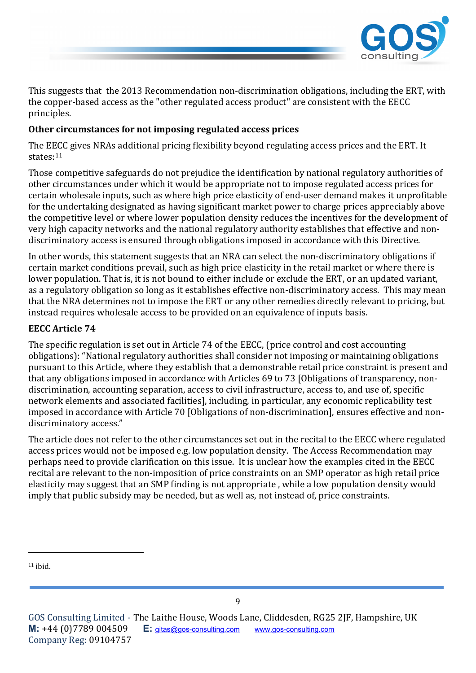

This suggests that the 2013 Recommendation non-discrimination obligations, including the ERT, with the copper-based access as the "other regulated access product" are consistent with the EECC principles.

### **Other circumstances for not imposing regulated access prices**

The EECC gives NRAs additional pricing flexibility beyond regulating access prices and the ERT. It states:[11](#page-8-0)

Those competitive safeguards do not prejudice the identification by national regulatory authorities of other circumstances under which it would be appropriate not to impose regulated access prices for certain wholesale inputs, such as where high price elasticity of end-user demand makes it unprofitable for the undertaking designated as having significant market power to charge prices appreciably above the competitive level or where lower population density reduces the incentives for the development of very high capacity networks and the national regulatory authority establishes that effective and nondiscriminatory access is ensured through obligations imposed in accordance with this Directive.

In other words, this statement suggests that an NRA can select the non-discriminatory obligations if certain market conditions prevail, such as high price elasticity in the retail market or where there is lower population. That is, it is not bound to either include or exclude the ERT, or an updated variant, as a regulatory obligation so long as it establishes effective non-discriminatory access. This may mean that the NRA determines not to impose the ERT or any other remedies directly relevant to pricing, but instead requires wholesale access to be provided on an equivalence of inputs basis.

# **EECC Article 74**

The specific regulation is set out in Article 74 of the EECC, (price control and cost accounting obligations): "National regulatory authorities shall consider not imposing or maintaining obligations pursuant to this Article, where they establish that a demonstrable retail price constraint is present and that any obligations imposed in accordance with Articles 69 to 73 [Obligations of transparency, nondiscrimination, accounting separation, access to civil infrastructure, access to, and use of, specific network elements and associated facilities], including, in particular, any economic replicability test imposed in accordance with Article 70 [Obligations of non-discrimination], ensures effective and nondiscriminatory access."

The article does not refer to the other circumstances set out in the recital to the EECC where regulated access prices would not be imposed e.g. low population density. The Access Recommendation may perhaps need to provide clarification on this issue. It is unclear how the examples cited in the EECC recital are relevant to the non-imposition of price constraints on an SMP operator as high retail price elasticity may suggest that an SMP finding is not appropriate , while a low population density would imply that public subsidy may be needed, but as well as, not instead of, price constraints.

<span id="page-8-0"></span> $11$  ibid.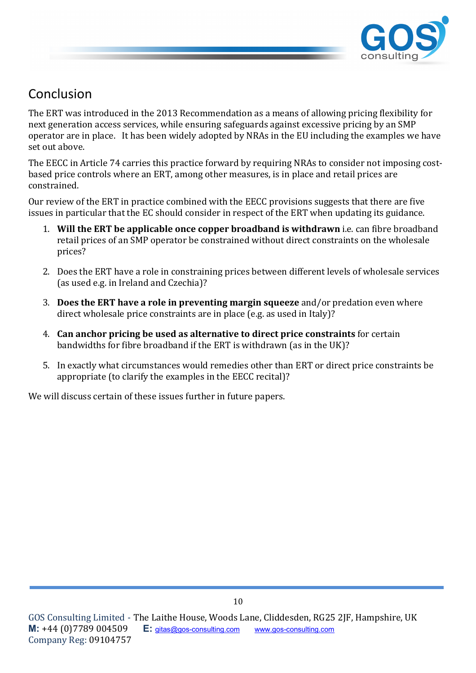

# Conclusion

The ERT was introduced in the 2013 Recommendation as a means of allowing pricing flexibility for next generation access services, while ensuring safeguards against excessive pricing by an SMP operator are in place. It has been widely adopted by NRAs in the EU including the examples we have set out above.

The EECC in Article 74 carries this practice forward by requiring NRAs to consider not imposing costbased price controls where an ERT, among other measures, is in place and retail prices are constrained.

Our review of the ERT in practice combined with the EECC provisions suggests that there are five issues in particular that the EC should consider in respect of the ERT when updating its guidance.

- 1. **Will the ERT be applicable once copper broadband is withdrawn** i.e. can fibre broadband retail prices of an SMP operator be constrained without direct constraints on the wholesale prices?
- 2. Does the ERT have a role in constraining prices between different levels of wholesale services (as used e.g. in Ireland and Czechia)?
- 3. **Does the ERT have a role in preventing margin squeeze** and/or predation even where direct wholesale price constraints are in place (e.g. as used in Italy)?
- 4. **Can anchor pricing be used as alternative to direct price constraints** for certain bandwidths for fibre broadband if the ERT is withdrawn (as in the UK)?
- 5. In exactly what circumstances would remedies other than ERT or direct price constraints be appropriate (to clarify the examples in the EECC recital)?

We will discuss certain of these issues further in future papers.